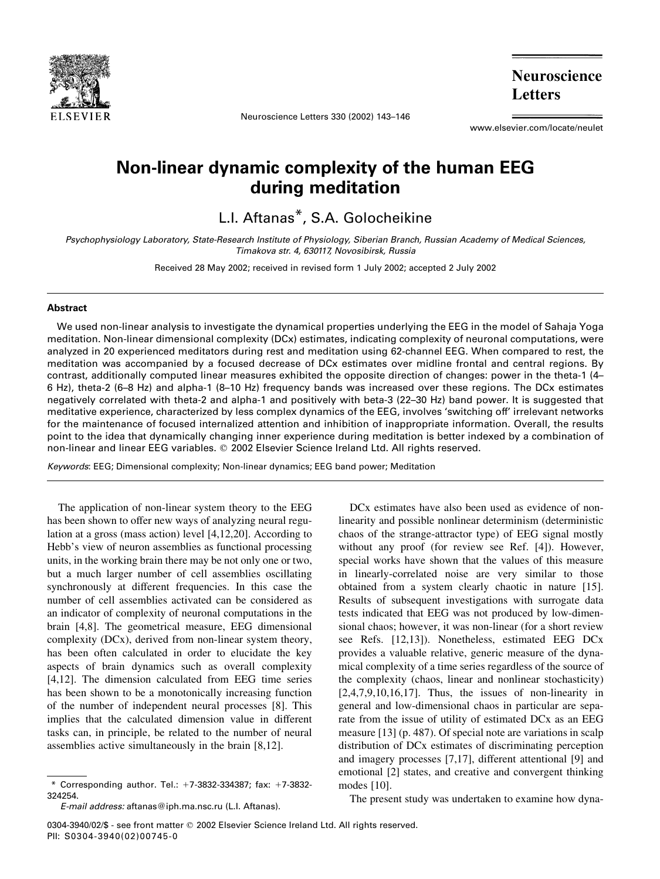

Neuroscience Letters 330 (2002) 143–146

**Neuroscience Letters** 

www.elsevier.com/locate/neulet

## Non-linear dynamic complexity of the human EEG during meditation

L.I. Aftanas\*, S.A. Golocheikine

Psychophysiology Laboratory, State-Research Institute of Physiology, Siberian Branch, Russian Academy of Medical Sciences, Timakova str. 4, 630117, Novosibirsk, Russia

Received 28 May 2002; received in revised form 1 July 2002; accepted 2 July 2002

## Abstract

We used non-linear analysis to investigate the dynamical properties underlying the EEG in the model of Sahaja Yoga meditation. Non-linear dimensional complexity (DCx) estimates, indicating complexity of neuronal computations, were analyzed in 20 experienced meditators during rest and meditation using 62-channel EEG. When compared to rest, the meditation was accompanied by a focused decrease of DCx estimates over midline frontal and central regions. By contrast, additionally computed linear measures exhibited the opposite direction of changes: power in the theta-1 (4– 6 Hz), theta-2 (6–8 Hz) and alpha-1 (8–10 Hz) frequency bands was increased over these regions. The DCx estimates negatively correlated with theta-2 and alpha-1 and positively with beta-3 (22–30 Hz) band power. It is suggested that meditative experience, characterized by less complex dynamics of the EEG, involves 'switching off' irrelevant networks for the maintenance of focused internalized attention and inhibition of inappropriate information. Overall, the results point to the idea that dynamically changing inner experience during meditation is better indexed by a combination of non-linear and linear EEG variables.  $©$  2002 Elsevier Science Ireland Ltd. All rights reserved.

Keywords: EEG; Dimensional complexity; Non-linear dynamics; EEG band power; Meditation

The application of non-linear system theory to the EEG has been shown to offer new ways of analyzing neural regulation at a gross (mass action) level [4,12,20]. According to Hebb's view of neuron assemblies as functional processing units, in the working brain there may be not only one or two, but a much larger number of cell assemblies oscillating synchronously at different frequencies. In this case the number of cell assemblies activated can be considered as an indicator of complexity of neuronal computations in the brain [4,8]. The geometrical measure, EEG dimensional complexity (DCx), derived from non-linear system theory, has been often calculated in order to elucidate the key aspects of brain dynamics such as overall complexity [4,12]. The dimension calculated from EEG time series has been shown to be a monotonically increasing function of the number of independent neural processes [8]. This implies that the calculated dimension value in different tasks can, in principle, be related to the number of neural assemblies active simultaneously in the brain [8,12].

DCx estimates have also been used as evidence of nonlinearity and possible nonlinear determinism (deterministic chaos of the strange-attractor type) of EEG signal mostly without any proof (for review see Ref. [4]). However, special works have shown that the values of this measure in linearly-correlated noise are very similar to those obtained from a system clearly chaotic in nature [15]. Results of subsequent investigations with surrogate data tests indicated that EEG was not produced by low-dimensional chaos; however, it was non-linear (for a short review see Refs. [12,13]). Nonetheless, estimated EEG DCx provides a valuable relative, generic measure of the dynamical complexity of a time series regardless of the source of the complexity (chaos, linear and nonlinear stochasticity)  $[2,4,7,9,10,16,17]$ . Thus, the issues of non-linearity in general and low-dimensional chaos in particular are separate from the issue of utility of estimated DCx as an EEG measure [13] (p. 487). Of special note are variations in scalp distribution of DCx estimates of discriminating perception and imagery processes [7,17], different attentional [9] and emotional [2] states, and creative and convergent thinking modes [10].

The present study was undertaken to examine how dyna-

 $*$  Corresponding author. Tel.:  $+7-3832-334387$ ; fax:  $+7-3832-$ 324254.

E-mail address: aftanas@iph.ma.nsc.ru (L.I. Aftanas).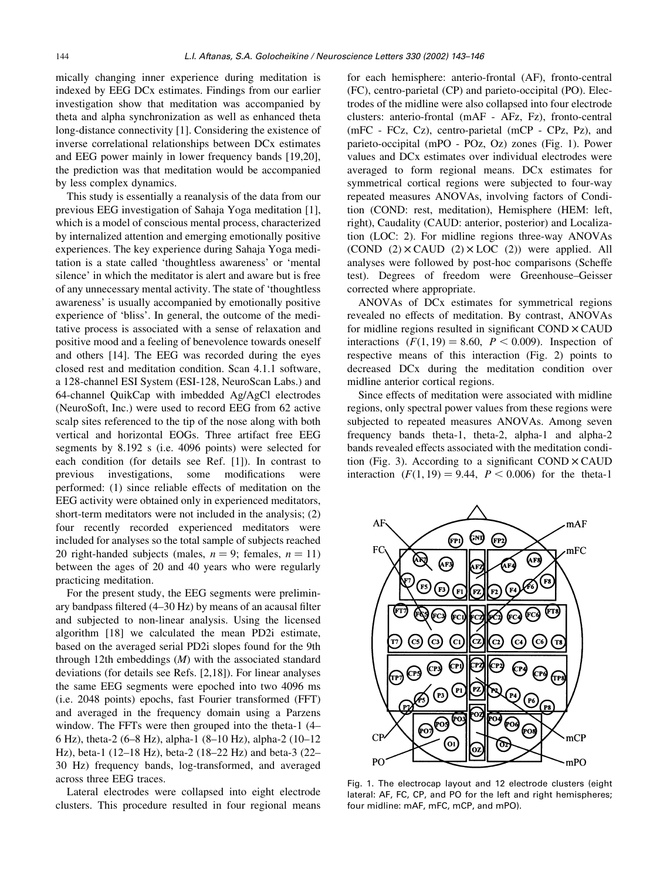mically changing inner experience during meditation is indexed by EEG DCx estimates. Findings from our earlier investigation show that meditation was accompanied by theta and alpha synchronization as well as enhanced theta long-distance connectivity [1]. Considering the existence of inverse correlational relationships between DCx estimates and EEG power mainly in lower frequency bands [19,20], the prediction was that meditation would be accompanied by less complex dynamics.

This study is essentially a reanalysis of the data from our previous EEG investigation of Sahaja Yoga meditation [1], which is a model of conscious mental process, characterized by internalized attention and emerging emotionally positive experiences. The key experience during Sahaja Yoga meditation is a state called 'thoughtless awareness' or 'mental silence' in which the meditator is alert and aware but is free of any unnecessary mental activity. The state of 'thoughtless awareness' is usually accompanied by emotionally positive experience of 'bliss'. In general, the outcome of the meditative process is associated with a sense of relaxation and positive mood and a feeling of benevolence towards oneself and others [14]. The EEG was recorded during the eyes closed rest and meditation condition. Scan 4.1.1 software, a 128-channel ESI System (ESI-128, NeuroScan Labs.) and 64-channel QuikCap with imbedded Ag/AgCl electrodes (NeuroSoft, Inc.) were used to record EEG from 62 active scalp sites referenced to the tip of the nose along with both vertical and horizontal EOGs. Three artifact free EEG segments by 8.192 s (i.e. 4096 points) were selected for each condition (for details see Ref. [1]). In contrast to previous investigations, some modifications were performed: (1) since reliable effects of meditation on the EEG activity were obtained only in experienced meditators, short-term meditators were not included in the analysis; (2) four recently recorded experienced meditators were included for analyses so the total sample of subjects reached 20 right-handed subjects (males,  $n = 9$ ; females,  $n = 11$ ) between the ages of 20 and 40 years who were regularly practicing meditation.

For the present study, the EEG segments were preliminary bandpass filtered (4–30 Hz) by means of an acausal filter and subjected to non-linear analysis. Using the licensed algorithm [18] we calculated the mean PD2i estimate, based on the averaged serial PD2i slopes found for the 9th through 12th embeddings  $(M)$  with the associated standard deviations (for details see Refs. [2,18]). For linear analyses the same EEG segments were epoched into two 4096 ms (i.e. 2048 points) epochs, fast Fourier transformed (FFT) and averaged in the frequency domain using a Parzens window. The FFTs were then grouped into the theta-1 (4– 6 Hz), theta-2 (6–8 Hz), alpha-1 (8–10 Hz), alpha-2 (10–12 Hz), beta-1 (12–18 Hz), beta-2 (18–22 Hz) and beta-3 (22– 30 Hz) frequency bands, log-transformed, and averaged across three EEG traces.

Lateral electrodes were collapsed into eight electrode clusters. This procedure resulted in four regional means for each hemisphere: anterio-frontal (AF), fronto-central (FC), centro-parietal (CP) and parieto-occipital (PO). Electrodes of the midline were also collapsed into four electrode clusters: anterio-frontal (mAF - AFz, Fz), fronto-central (mFC - FCz, Cz), centro-parietal (mCP - CPz, Pz), and parieto-occipital (mPO - POz, Oz) zones (Fig. 1). Power values and DCx estimates over individual electrodes were averaged to form regional means. DCx estimates for symmetrical cortical regions were subjected to four-way repeated measures ANOVAs, involving factors of Condition (COND: rest, meditation), Hemisphere (HEM: left, right), Caudality (CAUD: anterior, posterior) and Localization (LOC: 2). For midline regions three-way ANOVAs  $(COND (2) \times CAUD (2) \times LOC (2))$  were applied. All analyses were followed by post-hoc comparisons (Scheffe test). Degrees of freedom were Greenhouse–Geisser corrected where appropriate.

ANOVAs of DCx estimates for symmetrical regions revealed no effects of meditation. By contrast, ANOVAs for midline regions resulted in significant  $COND \times CAUD$ interactions  $(F(1, 19) = 8.60, P < 0.009)$ . Inspection of respective means of this interaction (Fig. 2) points to decreased DCx during the meditation condition over midline anterior cortical regions.

Since effects of meditation were associated with midline regions, only spectral power values from these regions were subjected to repeated measures ANOVAs. Among seven frequency bands theta-1, theta-2, alpha-1 and alpha-2 bands revealed effects associated with the meditation condition (Fig. 3). According to a significant  $COMD \times CAUD$ interaction  $(F(1, 19) = 9.44, P < 0.006)$  for the theta-1



Fig. 1. The electrocap layout and 12 electrode clusters (eight lateral: AF, FC, CP, and PO for the left and right hemispheres; four midline: mAF, mFC, mCP, and mPO).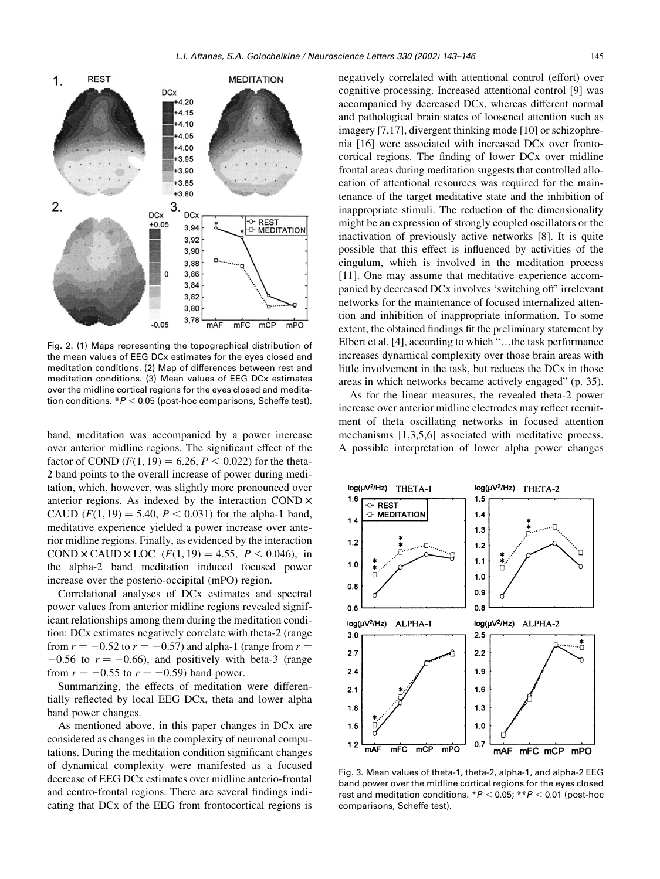

Fig. 2. (1) Maps representing the topographical distribution of the mean values of EEG DCx estimates for the eyes closed and meditation conditions. (2) Map of differences between rest and meditation conditions. (3) Mean values of EEG DCx estimates over the midline cortical regions for the eyes closed and meditation conditions.  $*P < 0.05$  (post-hoc comparisons, Scheffe test).

band, meditation was accompanied by a power increase over anterior midline regions. The significant effect of the factor of COND  $(F(1, 19) = 6.26, P < 0.022)$  for the theta-2 band points to the overall increase of power during meditation, which, however, was slightly more pronounced over anterior regions. As indexed by the interaction COND  $\times$ CAUD  $(F(1, 19) = 5.40, P < 0.031)$  for the alpha-1 band, meditative experience yielded a power increase over anterior midline regions. Finally, as evidenced by the interaction COND  $\times$  CAUD  $\times$  LOC ( $F(1, 19) = 4.55$ ,  $P < 0.046$ ), in the alpha-2 band meditation induced focused power increase over the posterio-occipital (mPO) region.

Correlational analyses of DCx estimates and spectral power values from anterior midline regions revealed significant relationships among them during the meditation condition: DCx estimates negatively correlate with theta-2 (range from  $r = -0.52$  to  $r = -0.57$ ) and alpha-1 (range from  $r =$  $-0.56$  to  $r = -0.66$ ), and positively with beta-3 (range from  $r = -0.55$  to  $r = -0.59$ ) band power.

Summarizing, the effects of meditation were differentially reflected by local EEG DCx, theta and lower alpha band power changes.

As mentioned above, in this paper changes in DCx are considered as changes in the complexity of neuronal computations. During the meditation condition significant changes of dynamical complexity were manifested as a focused decrease of EEG DCx estimates over midline anterio-frontal and centro-frontal regions. There are several findings indicating that DCx of the EEG from frontocortical regions is negatively correlated with attentional control (effort) over cognitive processing. Increased attentional control [9] was accompanied by decreased DCx, whereas different normal and pathological brain states of loosened attention such as imagery [7,17], divergent thinking mode [10] or schizophrenia [16] were associated with increased DCx over frontocortical regions. The finding of lower DCx over midline frontal areas during meditation suggests that controlled allocation of attentional resources was required for the maintenance of the target meditative state and the inhibition of inappropriate stimuli. The reduction of the dimensionality might be an expression of strongly coupled oscillators or the inactivation of previously active networks [8]. It is quite possible that this effect is influenced by activities of the cingulum, which is involved in the meditation process [11]. One may assume that meditative experience accompanied by decreased DCx involves 'switching off' irrelevant networks for the maintenance of focused internalized attention and inhibition of inappropriate information. To some extent, the obtained findings fit the preliminary statement by Elbert et al. [4], according to which "…the task performance increases dynamical complexity over those brain areas with little involvement in the task, but reduces the DCx in those areas in which networks became actively engaged" (p. 35).

As for the linear measures, the revealed theta-2 power increase over anterior midline electrodes may reflect recruitment of theta oscillating networks in focused attention mechanisms [1,3,5,6] associated with meditative process. A possible interpretation of lower alpha power changes



Fig. 3. Mean values of theta-1, theta-2, alpha-1, and alpha-2 EEG band power over the midline cortical regions for the eyes closed rest and meditation conditions.  $*P < 0.05$ ;  $**P < 0.01$  (post-hoc comparisons, Scheffe test).